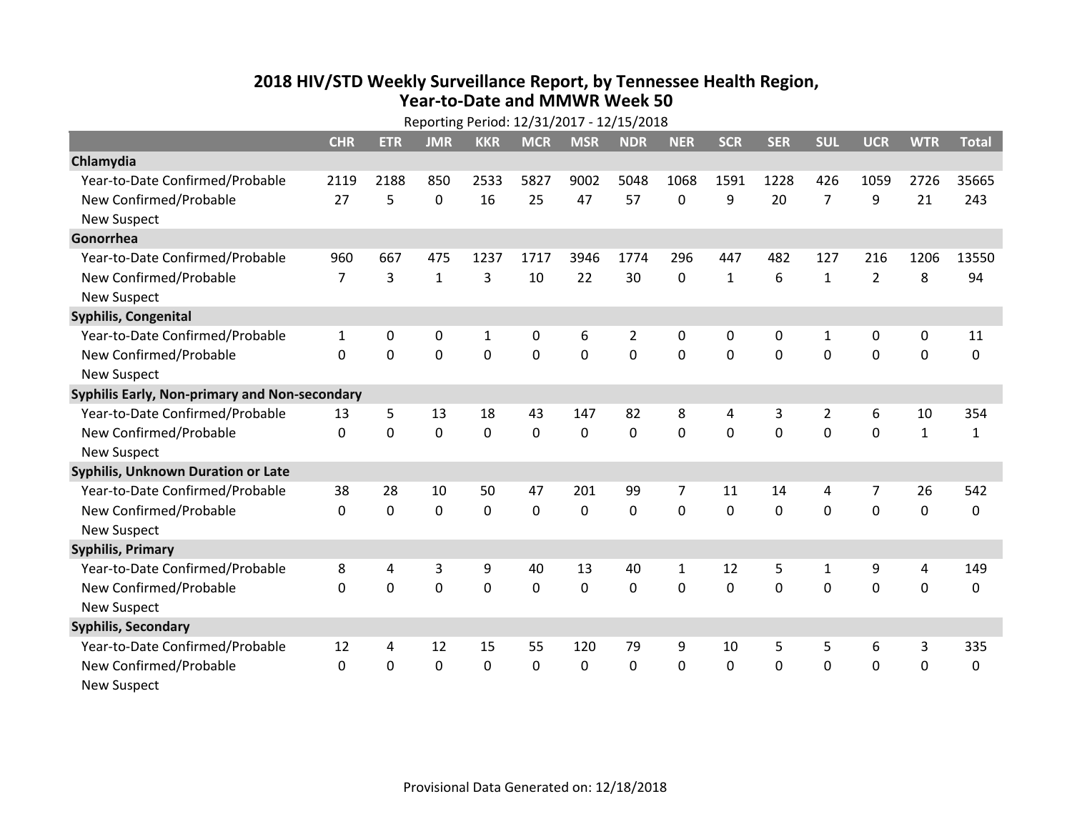## **2018 HIV /STD Weekly Surveillance Report, by Tennessee Health Region, Year‐to‐Date and MMWR Week 50**

| Reporting Period: 12/31/2017 - 12/15/2018     |                |             |              |              |            |             |                |              |              |             |                |                |                |              |
|-----------------------------------------------|----------------|-------------|--------------|--------------|------------|-------------|----------------|--------------|--------------|-------------|----------------|----------------|----------------|--------------|
|                                               | <b>CHR</b>     | <b>ETR</b>  | <b>JMR</b>   | <b>KKR</b>   | <b>MCR</b> | <b>MSR</b>  | <b>NDR</b>     | <b>NER</b>   | <b>SCR</b>   | <b>SER</b>  | <b>SUL</b>     | <b>UCR</b>     | <b>WTR</b>     | <b>Total</b> |
| Chlamydia                                     |                |             |              |              |            |             |                |              |              |             |                |                |                |              |
| Year-to-Date Confirmed/Probable               | 2119           | 2188        | 850          | 2533         | 5827       | 9002        | 5048           | 1068         | 1591         | 1228        | 426            | 1059           | 2726           | 35665        |
| New Confirmed/Probable                        | 27             | 5           | $\Omega$     | 16           | 25         | 47          | 57             | 0            | 9            | 20          | $\overline{7}$ | 9              | 21             | 243          |
| <b>New Suspect</b>                            |                |             |              |              |            |             |                |              |              |             |                |                |                |              |
| Gonorrhea                                     |                |             |              |              |            |             |                |              |              |             |                |                |                |              |
| Year-to-Date Confirmed/Probable               | 960            | 667         | 475          | 1237         | 1717       | 3946        | 1774           | 296          | 447          | 482         | 127            | 216            | 1206           | 13550        |
| New Confirmed/Probable                        | $\overline{7}$ | 3           | $\mathbf{1}$ | 3            | 10         | 22          | 30             | 0            | $\mathbf{1}$ | 6           | $\mathbf{1}$   | $\overline{2}$ | 8              | 94           |
| <b>New Suspect</b>                            |                |             |              |              |            |             |                |              |              |             |                |                |                |              |
| <b>Syphilis, Congenital</b>                   |                |             |              |              |            |             |                |              |              |             |                |                |                |              |
| Year-to-Date Confirmed/Probable               | 1              | 0           | $\mathbf 0$  | $\mathbf{1}$ | 0          | 6           | $\overline{2}$ | 0            | 0            | 0           | 1              | 0              | $\mathbf 0$    | 11           |
| New Confirmed/Probable                        | 0              | $\Omega$    | 0            | 0            | 0          | 0           | 0              | 0            | 0            | $\Omega$    | $\mathbf{0}$   | 0              | $\Omega$       | 0            |
| <b>New Suspect</b>                            |                |             |              |              |            |             |                |              |              |             |                |                |                |              |
| Syphilis Early, Non-primary and Non-secondary |                |             |              |              |            |             |                |              |              |             |                |                |                |              |
| Year-to-Date Confirmed/Probable               | 13             | 5           | 13           | 18           | 43         | 147         | 82             | 8            | 4            | 3           | $\overline{2}$ | 6              | 10             | 354          |
| New Confirmed/Probable                        | 0              | $\mathbf 0$ | $\mathbf 0$  | $\mathbf 0$  | 0          | $\mathbf 0$ | $\mathbf 0$    | 0            | $\mathbf 0$  | $\mathbf 0$ | 0              | 0              | $\mathbf{1}$   | 1            |
| <b>New Suspect</b>                            |                |             |              |              |            |             |                |              |              |             |                |                |                |              |
| Syphilis, Unknown Duration or Late            |                |             |              |              |            |             |                |              |              |             |                |                |                |              |
| Year-to-Date Confirmed/Probable               | 38             | 28          | 10           | 50           | 47         | 201         | 99             | 7            | 11           | 14          | 4              | 7              | 26             | 542          |
| New Confirmed/Probable                        | 0              | 0           | 0            | 0            | 0          | $\Omega$    | 0              | $\Omega$     | $\Omega$     | $\Omega$    | $\Omega$       | 0              | 0              | 0            |
| <b>New Suspect</b>                            |                |             |              |              |            |             |                |              |              |             |                |                |                |              |
| <b>Syphilis, Primary</b>                      |                |             |              |              |            |             |                |              |              |             |                |                |                |              |
| Year-to-Date Confirmed/Probable               | 8              | 4           | 3            | 9            | 40         | 13          | 40             | $\mathbf{1}$ | 12           | 5           | $\mathbf{1}$   | 9              | $\overline{4}$ | 149          |
| New Confirmed/Probable                        | $\Omega$       | $\mathbf 0$ | 0            | 0            | 0          | $\Omega$    | $\Omega$       | 0            | 0            | $\Omega$    | $\Omega$       | 0              | 0              | $\Omega$     |
| <b>New Suspect</b>                            |                |             |              |              |            |             |                |              |              |             |                |                |                |              |
| <b>Syphilis, Secondary</b>                    |                |             |              |              |            |             |                |              |              |             |                |                |                |              |
| Year-to-Date Confirmed/Probable               | 12             | 4           | 12           | 15           | 55         | 120         | 79             | 9            | 10           | 5           | 5              | 6              | 3              | 335          |
| New Confirmed/Probable                        | 0              | $\Omega$    | 0            | 0            | 0          | $\Omega$    | $\mathbf 0$    | 0            | 0            | 0           | $\mathbf{0}$   | 0              | $\mathbf 0$    | $\Omega$     |
| <b>New Suspect</b>                            |                |             |              |              |            |             |                |              |              |             |                |                |                |              |